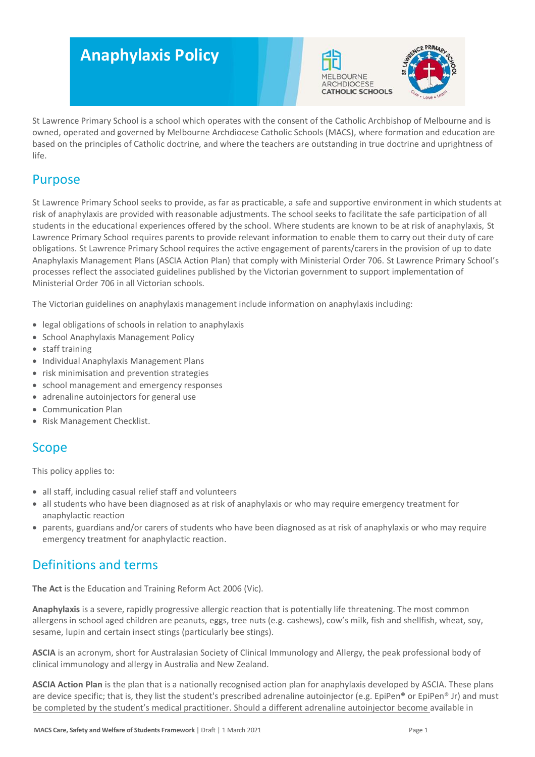# **Anaphylaxis Policy**





St Lawrence Primary School is a school which operates with the consent of the Catholic Archbishop of Melbourne and is owned, operated and governed by Melbourne Archdiocese Catholic Schools (MACS), where formation and education are based on the principles of Catholic doctrine, and where the teachers are outstanding in true doctrine and uprightness of life.

# Purpose

St Lawrence Primary School seeks to provide, as far as practicable, a safe and supportive environment in which students at risk of anaphylaxis are provided with reasonable adjustments. The school seeks to facilitate the safe participation of all students in the educational experiences offered by the school. Where students are known to be at risk of anaphylaxis, St Lawrence Primary School requires parents to provide relevant information to enable them to carry out their duty of care obligations. St Lawrence Primary School requires the active engagement of parents/carers in the provision of up to date Anaphylaxis Management Plans (ASCIA Action Plan) that comply with Ministerial Order 706. St Lawrence Primary School's processes reflect the associated guidelines published by the Victorian government to support implementation of Ministerial Order 706 in all Victorian schools.

The Victorian guidelines on anaphylaxis management include information on anaphylaxis including:

- legal obligations of schools in relation to anaphylaxis
- School Anaphylaxis Management Policy
- staff training
- Individual Anaphylaxis Management Plans
- risk minimisation and prevention strategies
- school management and emergency responses
- adrenaline autoinjectors for general use
- Communication Plan
- Risk Management Checklist.

# Scope

This policy applies to:

- all staff, including casual relief staff and volunteers
- all students who have been diagnosed as at risk of anaphylaxis or who may require emergency treatment for anaphylactic reaction
- parents, guardians and/or carers of students who have been diagnosed as at risk of anaphylaxis or who may require emergency treatment for anaphylactic reaction.

# Definitions and terms

**The Act** is the Education and Training Reform Act 2006 (Vic).

**Anaphylaxis** is a severe, rapidly progressive allergic reaction that is potentially life threatening. The most common allergens in school aged children are peanuts, eggs, tree nuts (e.g. cashews), cow's milk, fish and shellfish, wheat, soy, sesame, lupin and certain insect stings (particularly bee stings).

**ASCIA** is an acronym, short for Australasian Society of Clinical Immunology and Allergy, the peak professional body of clinical immunology and allergy in Australia and New Zealand.

**ASCIA Action Plan** is the plan that is a nationally recognised action plan for anaphylaxis developed by ASCIA. These plans are device specific; that is, they list the student's prescribed adrenaline autoiniector (e.g. EpiPen® or EpiPen® Jr) and must be completed by the student's medical practitioner. Should a different adrenaline autoinjector become available in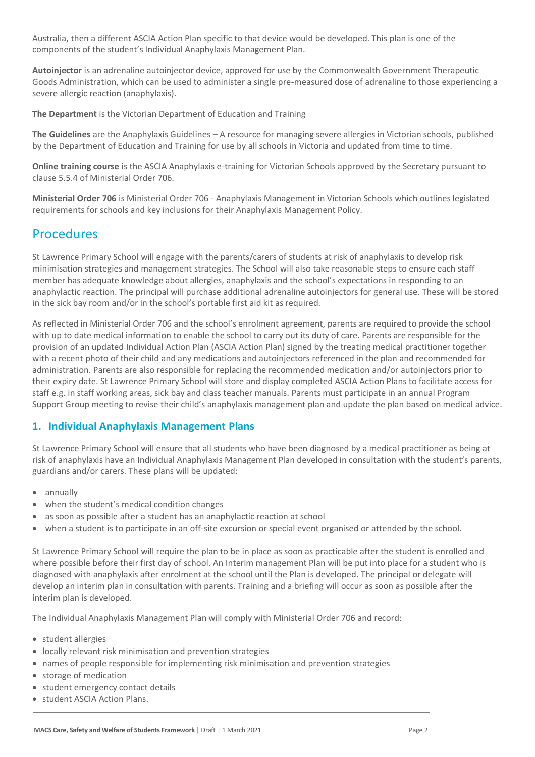Australia, then a different ASCIA Action Plan specific to that device would be developed. This plan is one of the components of the student's Individual Anaphylaxis Management Plan.

**Autoinjector** is an adrenaline autoinjector device, approved for use by the Commonwealth Government Therapeutic Goods Administration, which can be used to administer a single pre-measured dose of adrenaline to those experiencing a severe allergic reaction (anaphylaxis).

**The Department** is the Victorian Department of Education and Training

**The Guidelines** are the Anaphylaxis Guidelines – A resource for managing severe allergies in Victorian schools, published by the Department of Education and Training for use by all schools in Victoria and updated from time to time.

**Online training course** is the ASCIA Anaphylaxis e-training for Victorian Schools approved by the Secretary pursuant to clause 5.5.4 of Ministerial Order 706.

**Ministerial Order 706** is Ministerial Order 706 - Anaphylaxis Management in Victorian Schools which outlines legislated requirements for schools and key inclusions for their Anaphylaxis Management Policy.

# Procedures

St Lawrence Primary School will engage with the parents/carers of students at risk of anaphylaxis to develop risk minimisation strategies and management strategies. The School will also take reasonable steps to ensure each staff member has adequate knowledge about allergies, anaphylaxis and the school's expectations in responding to an anaphylactic reaction. The principal will purchase additional adrenaline autoinjectors for general use. These will be stored in the sick bay room and/or in the school's portable first aid kit as required.

As reflected in Ministerial Order 706 and the school's enrolment agreement, parents are required to provide the school with up to date medical information to enable the school to carry out its duty of care. Parents are responsible for the provision of an updated Individual Action Plan (ASCIA Action Plan) signed by the treating medical practitioner together with a recent photo of their child and any medications and autoinjectors referenced in the plan and recommended for administration. Parents are also responsible for replacing the recommended medication and/or autoinjectors prior to their expiry date. St Lawrence Primary School will store and display completed ASCIA Action Plans to facilitate access for staff e.g. in staff working areas, sick bay and class teacher manuals. Parents must participate in an annual Program Support Group meeting to revise their child's anaphylaxis management plan and update the plan based on medical advice.

## **1. Individual Anaphylaxis Management Plans**

St Lawrence Primary School will ensure that all students who have been diagnosed by a medical practitioner as being at risk of anaphylaxis have an Individual Anaphylaxis Management Plan developed in consultation with the student's parents, guardians and/or carers. These plans will be updated:

- annually
- when the student's medical condition changes
- as soon as possible after a student has an anaphylactic reaction at school
- when a student is to participate in an off-site excursion or special event organised or attended by the school.

St Lawrence Primary School will require the plan to be in place as soon as practicable after the student is enrolled and where possible before their first day of school. An Interim management Plan will be put into place for a student who is diagnosed with anaphylaxis after enrolment at the school until the Plan is developed. The principal or delegate will develop an interim plan in consultation with parents. Training and a briefing will occur as soon as possible after the interim plan is developed.

The Individual Anaphylaxis Management Plan will comply with Ministerial Order 706 and record:

- student allergies
- locally relevant risk minimisation and prevention strategies
- names of people responsible for implementing risk minimisation and prevention strategies
- storage of medication
- student emergency contact details
- student ASCIA Action Plans.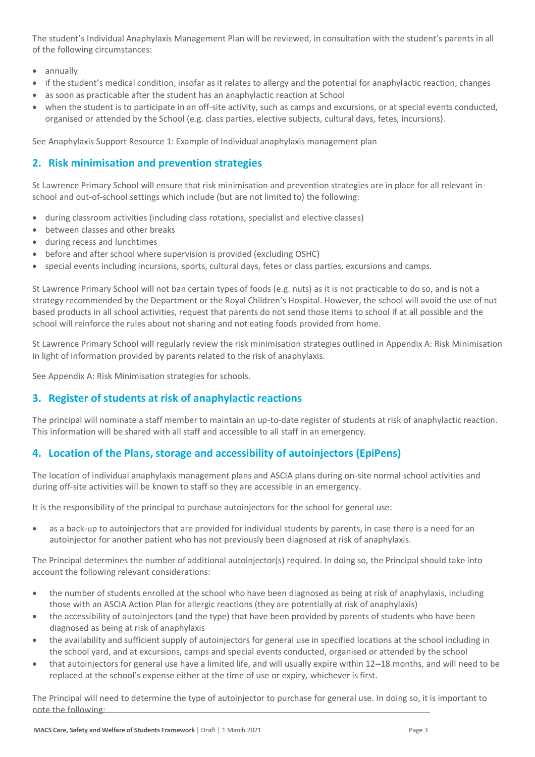The student's Individual Anaphylaxis Management Plan will be reviewed, in consultation with the student's parents in all of the following circumstances:

- annually
- if the student's medical condition, insofar as it relates to allergy and the potential for anaphylactic reaction, changes
- as soon as practicable after the student has an anaphylactic reaction at School
- when the student is to participate in an off-site activity, such as camps and excursions, or at special events conducted, organised or attended by the School (e.g. class parties, elective subjects, cultural days, fetes, incursions).

See Anaphylaxis Support Resource 1: Example of Individual anaphylaxis management plan

## **2. Risk minimisation and prevention strategies**

St Lawrence Primary School will ensure that risk minimisation and prevention strategies are in place for all relevant inschool and out-of-school settings which include (but are not limited to) the following:

- during classroom activities (including class rotations, specialist and elective classes)
- between classes and other breaks
- during recess and lunchtimes
- before and after school where supervision is provided (excluding OSHC)
- special events including incursions, sports, cultural days, fetes or class parties, excursions and camps.

St Lawrence Primary School will not ban certain types of foods (e.g. nuts) as it is not practicable to do so, and is not a strategy recommended by the Department or the Royal Children's Hospital. However, the school will avoid the use of nut based products in all school activities, request that parents do not send those items to school if at all possible and the school will reinforce the rules about not sharing and not eating foods provided from home.

St Lawrence Primary School will regularly review the risk minimisation strategies outlined in Appendix A: Risk Minimisation in light of information provided by parents related to the risk of anaphylaxis.

See Appendix A: Risk Minimisation strategies for schools.

# **3. Register of students at risk of anaphylactic reactions**

The principal will nominate a staff member to maintain an up-to-date register of students at risk of anaphylactic reaction. This information will be shared with all staff and accessible to all staff in an emergency.

# **4. Location of the Plans, storage and accessibility of autoinjectors (EpiPens)**

The location of individual anaphylaxis management plans and ASCIA plans during on-site normal school activities and during off-site activities will be known to staff so they are accessible in an emergency.

It is the responsibility of the principal to purchase autoinjectors for the school for general use:

• as a back-up to autoinjectors that are provided for individual students by parents, in case there is a need for an autoinjector for another patient who has not previously been diagnosed at risk of anaphylaxis.

The Principal determines the number of additional autoinjector(s) required. In doing so, the Principal should take into account the following relevant considerations:

- the number of students enrolled at the school who have been diagnosed as being at risk of anaphylaxis, including those with an ASCIA Action Plan for allergic reactions (they are potentially at risk of anaphylaxis)
- the accessibility of autoinjectors (and the type) that have been provided by parents of students who have been diagnosed as being at risk of anaphylaxis
- the availability and sufficient supply of autoinjectors for general use in specified locations at the school including in the school yard, and at excursions, camps and special events conducted, organised or attended by the school
- that autoinjectors for general use have a limited life, and will usually expire within 12–18 months, and will need to be replaced at the school's expense either at the time of use or expiry, whichever is first.

The Principal will need to determine the type of autoinjector to purchase for general use. In doing so, it is important to note the following: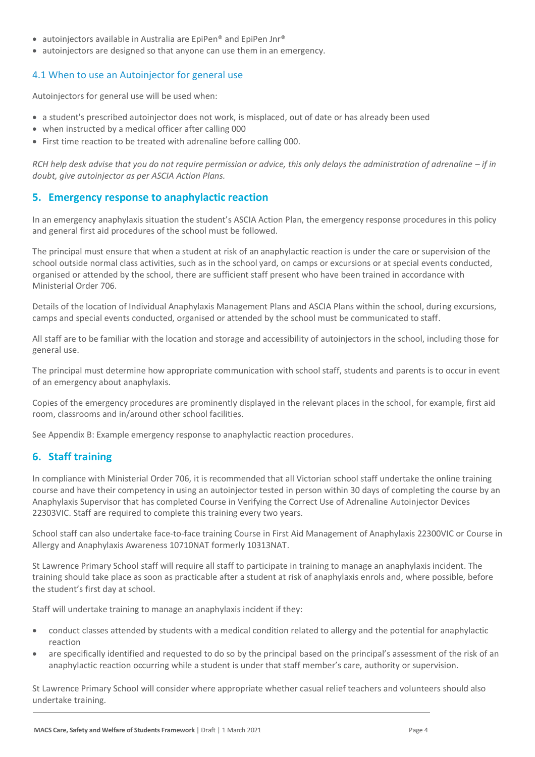- autoiniectors available in Australia are EpiPen® and EpiPen Jnr®
- autoinjectors are designed so that anyone can use them in an emergency.

#### 4.1 When to use an Autoinjector for general use

Autoinjectors for general use will be used when:

- a student's prescribed autoinjector does not work, is misplaced, out of date or has already been used
- when instructed by a medical officer after calling 000
- First time reaction to be treated with adrenaline before calling 000.

*RCH help desk advise that you do not require permission or advice, this only delays the administration of adrenaline – if in doubt, give autoinjector as per ASCIA Action Plans.*

#### **5. Emergency response to anaphylactic reaction**

In an emergency anaphylaxis situation the student's ASCIA Action Plan, the emergency response procedures in this policy and general first aid procedures of the school must be followed.

The principal must ensure that when a student at risk of an anaphylactic reaction is under the care or supervision of the school outside normal class activities, such as in the school yard, on camps or excursions or at special events conducted, organised or attended by the school, there are sufficient staff present who have been trained in accordance with Ministerial Order 706.

Details of the location of Individual Anaphylaxis Management Plans and ASCIA Plans within the school, during excursions, camps and special events conducted, organised or attended by the school must be communicated to staff.

All staff are to be familiar with the location and storage and accessibility of autoinjectors in the school, including those for general use.

The principal must determine how appropriate communication with school staff, students and parents is to occur in event of an emergency about anaphylaxis.

Copies of the emergency procedures are prominently displayed in the relevant places in the school, for example, first aid room, classrooms and in/around other school facilities.

See Appendix B: Example emergency response to anaphylactic reaction procedures.

#### **6. Staff training**

In compliance with Ministerial Order 706, it is recommended that all Victorian school staff undertake the online training course and have their competency in using an autoinjector tested in person within 30 days of completing the course by an Anaphylaxis Supervisor that has completed Course in Verifying the Correct Use of Adrenaline Autoinjector Devices 22303VIC. Staff are required to complete this training every two years.

School staff can also undertake face-to-face training Course in First Aid Management of Anaphylaxis 22300VIC or Course in Allergy and Anaphylaxis Awareness 10710NAT formerly 10313NAT.

St Lawrence Primary School staff will require all staff to participate in training to manage an anaphylaxis incident. The training should take place as soon as practicable after a student at risk of anaphylaxis enrols and, where possible, before the student's first day at school.

Staff will undertake training to manage an anaphylaxis incident if they:

- conduct classes attended by students with a medical condition related to allergy and the potential for anaphylactic reaction
- are specifically identified and requested to do so by the principal based on the principal's assessment of the risk of an anaphylactic reaction occurring while a student is under that staff member's care, authority or supervision.

St Lawrence Primary School will consider where appropriate whether casual relief teachers and volunteers should also undertake training.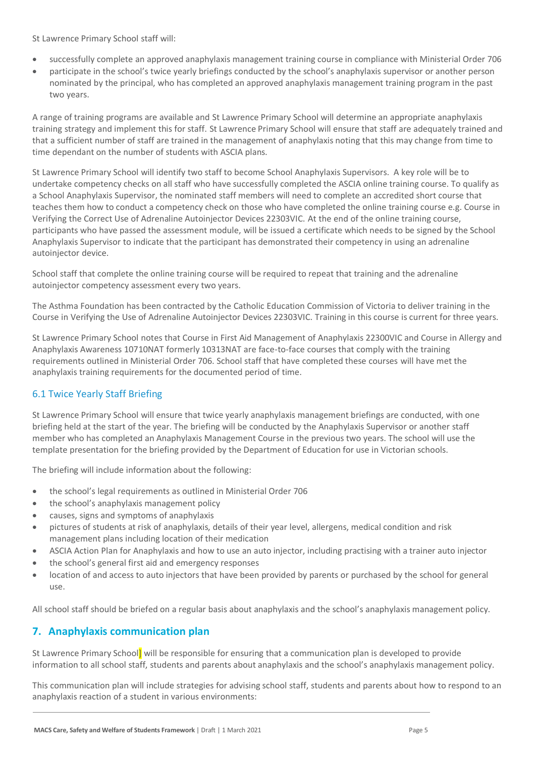St Lawrence Primary School staff will:

- successfully complete an approved anaphylaxis management training course in compliance with Ministerial Order 706
- participate in the school's twice yearly briefings conducted by the school's anaphylaxis supervisor or another person nominated by the principal, who has completed an approved anaphylaxis management training program in the past two years.

A range of training programs are available and St Lawrence Primary School will determine an appropriate anaphylaxis training strategy and implement this for staff. St Lawrence Primary School will ensure that staff are adequately trained and that a sufficient number of staff are trained in the management of anaphylaxis noting that this may change from time to time dependant on the number of students with ASCIA plans.

St Lawrence Primary School will identify two staff to become School Anaphylaxis Supervisors. A key role will be to undertake competency checks on all staff who have successfully completed the ASCIA online training course. To qualify as a School Anaphylaxis Supervisor, the nominated staff members will need to complete an accredited short course that teaches them how to conduct a competency check on those who have completed the online training course e.g. Course in Verifying the Correct Use of Adrenaline Autoinjector Devices 22303VIC. At the end of the online training course, participants who have passed the assessment module, will be issued a certificate which needs to be signed by the School Anaphylaxis Supervisor to indicate that the participant has demonstrated their competency in using an adrenaline autoinjector device.

School staff that complete the online training course will be required to repeat that training and the adrenaline autoinjector competency assessment every two years.

The Asthma Foundation has been contracted by the Catholic Education Commission of Victoria to deliver training in the Course in Verifying the Use of Adrenaline Autoinjector Devices 22303VIC. Training in this course is current for three years.

St Lawrence Primary School notes that Course in First Aid Management of Anaphylaxis 22300VIC and Course in Allergy and Anaphylaxis Awareness 10710NAT formerly 10313NAT are face-to-face courses that comply with the training requirements outlined in Ministerial Order 706. School staff that have completed these courses will have met the anaphylaxis training requirements for the documented period of time.

## 6.1 Twice Yearly Staff Briefing

St Lawrence Primary School will ensure that twice yearly anaphylaxis management briefings are conducted, with one briefing held at the start of the year. The briefing will be conducted by the Anaphylaxis Supervisor or another staff member who has completed an Anaphylaxis Management Course in the previous two years. The school will use the template presentation for the briefing provided by the Department of Education for use in Victorian schools.

The briefing will include information about the following:

- the school's legal requirements as outlined in Ministerial Order 706
- the school's anaphylaxis management policy
- causes, signs and symptoms of anaphylaxis
- pictures of students at risk of anaphylaxis, details of their year level, allergens, medical condition and risk management plans including location of their medication
- ASCIA Action Plan for Anaphylaxis and how to use an auto injector, including practising with a trainer auto injector
- the school's general first aid and emergency responses
- location of and access to auto injectors that have been provided by parents or purchased by the school for general use.

All school staff should be briefed on a regular basis about anaphylaxis and the school's anaphylaxis management policy.

## **7. Anaphylaxis communication plan**

St Lawrence Primary School] will be responsible for ensuring that a communication plan is developed to provide information to all school staff, students and parents about anaphylaxis and the school's anaphylaxis management policy.

This communication plan will include strategies for advising school staff, students and parents about how to respond to an anaphylaxis reaction of a student in various environments: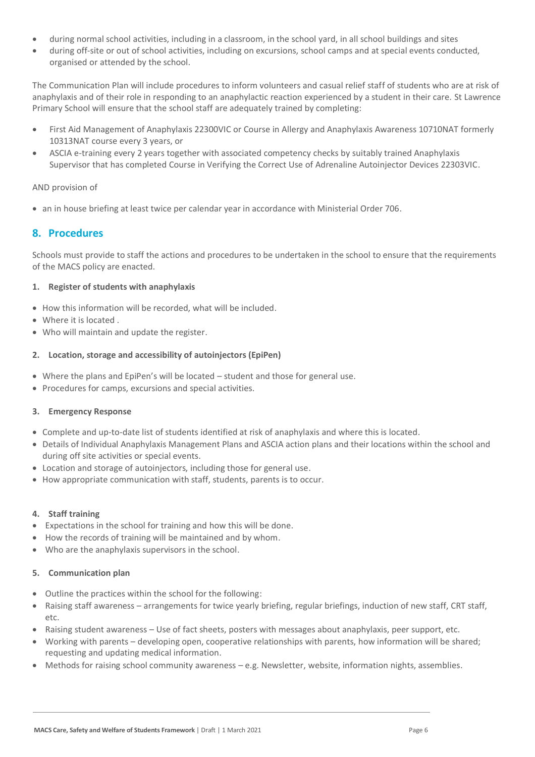- during normal school activities, including in a classroom, in the school yard, in all school buildings and sites
- during off-site or out of school activities, including on excursions, school camps and at special events conducted, organised or attended by the school.

The Communication Plan will include procedures to inform volunteers and casual relief staff of students who are at risk of anaphylaxis and of their role in responding to an anaphylactic reaction experienced by a student in their care. St Lawrence Primary School will ensure that the school staff are adequately trained by completing:

- First Aid Management of Anaphylaxis 22300VIC or Course in Allergy and Anaphylaxis Awareness 10710NAT formerly 10313NAT course every 3 years, or
- ASCIA e-training every 2 years together with associated competency checks by suitably trained Anaphylaxis Supervisor that has completed Course in Verifying the Correct Use of Adrenaline Autoinjector Devices 22303VIC.

#### AND provision of

• an in house briefing at least twice per calendar year in accordance with Ministerial Order 706.

#### **8. Procedures**

Schools must provide to staff the actions and procedures to be undertaken in the school to ensure that the requirements of the MACS policy are enacted.

#### **1. Register of students with anaphylaxis**

- How this information will be recorded, what will be included.
- Where it is located .
- Who will maintain and update the register.

#### **2. Location, storage and accessibility of autoinjectors (EpiPen)**

- Where the plans and EpiPen's will be located student and those for general use.
- Procedures for camps, excursions and special activities.

#### **3. Emergency Response**

- Complete and up-to-date list of students identified at risk of anaphylaxis and where this is located.
- Details of Individual Anaphylaxis Management Plans and ASCIA action plans and their locations within the school and during off site activities or special events.
- Location and storage of autoinjectors, including those for general use.
- How appropriate communication with staff, students, parents is to occur.

#### **4. Staff training**

- Expectations in the school for training and how this will be done.
- How the records of training will be maintained and by whom.
- Who are the anaphylaxis supervisors in the school.

#### **5. Communication plan**

- Outline the practices within the school for the following:
- Raising staff awareness arrangements for twice yearly briefing, regular briefings, induction of new staff, CRT staff, etc.
- Raising student awareness Use of fact sheets, posters with messages about anaphylaxis, peer support, etc.
- Working with parents developing open, cooperative relationships with parents, how information will be shared; requesting and updating medical information.
- Methods for raising school community awareness e.g. Newsletter, website, information nights, assemblies.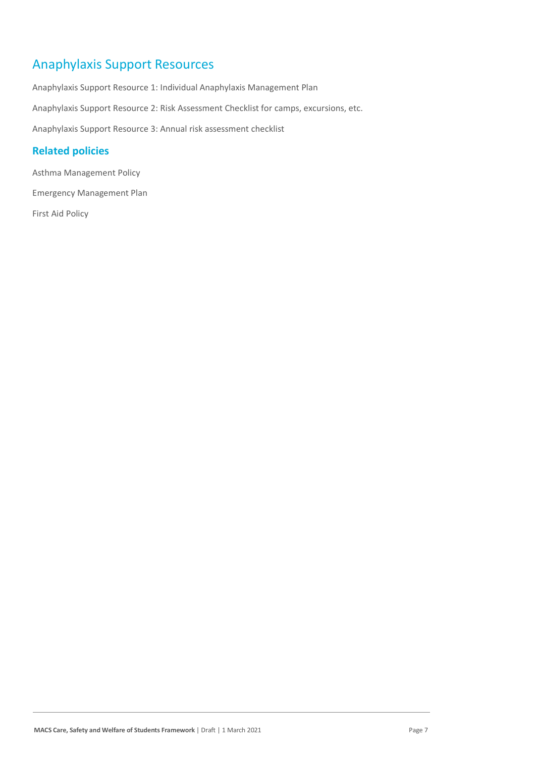# Anaphylaxis Support Resources

Anaphylaxis Support Resource 1: Individual Anaphylaxis Management Plan Anaphylaxis Support Resource 2: Risk Assessment Checklist for camps, excursions, etc. Anaphylaxis Support Resource 3: Annual risk assessment checklist

## **Related policies**

Asthma Management Policy Emergency Management Plan

First Aid Policy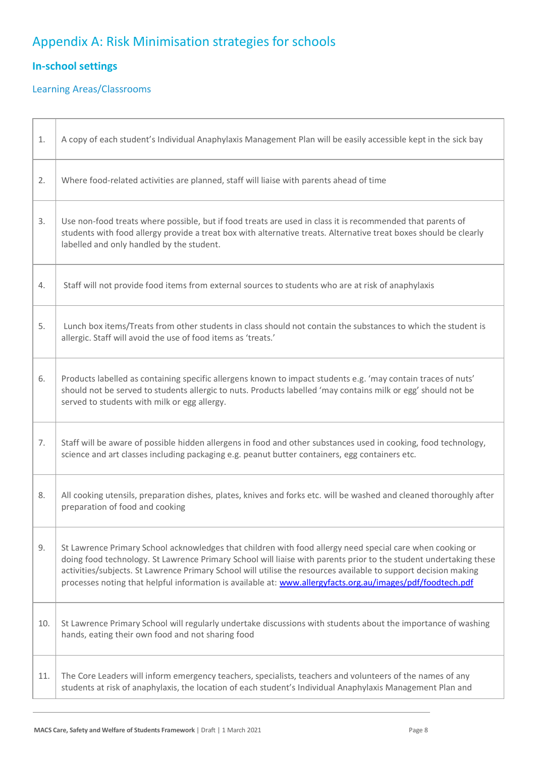# Appendix A: Risk Minimisation strategies for schools

# **In-school settings**

# Learning Areas/Classrooms

| 1.  | A copy of each student's Individual Anaphylaxis Management Plan will be easily accessible kept in the sick bay                                                                                                                                                                                                                                                                                                                                                  |
|-----|-----------------------------------------------------------------------------------------------------------------------------------------------------------------------------------------------------------------------------------------------------------------------------------------------------------------------------------------------------------------------------------------------------------------------------------------------------------------|
| 2.  | Where food-related activities are planned, staff will liaise with parents ahead of time                                                                                                                                                                                                                                                                                                                                                                         |
| 3.  | Use non-food treats where possible, but if food treats are used in class it is recommended that parents of<br>students with food allergy provide a treat box with alternative treats. Alternative treat boxes should be clearly<br>labelled and only handled by the student.                                                                                                                                                                                    |
| 4.  | Staff will not provide food items from external sources to students who are at risk of anaphylaxis                                                                                                                                                                                                                                                                                                                                                              |
| 5.  | Lunch box items/Treats from other students in class should not contain the substances to which the student is<br>allergic. Staff will avoid the use of food items as 'treats.'                                                                                                                                                                                                                                                                                  |
| 6.  | Products labelled as containing specific allergens known to impact students e.g. 'may contain traces of nuts'<br>should not be served to students allergic to nuts. Products labelled 'may contains milk or egg' should not be<br>served to students with milk or egg allergy.                                                                                                                                                                                  |
| 7.  | Staff will be aware of possible hidden allergens in food and other substances used in cooking, food technology,<br>science and art classes including packaging e.g. peanut butter containers, egg containers etc.                                                                                                                                                                                                                                               |
| 8.  | All cooking utensils, preparation dishes, plates, knives and forks etc. will be washed and cleaned thoroughly after<br>preparation of food and cooking                                                                                                                                                                                                                                                                                                          |
| 9.  | St Lawrence Primary School acknowledges that children with food allergy need special care when cooking or<br>doing food technology. St Lawrence Primary School will liaise with parents prior to the student undertaking these<br>activities/subjects. St Lawrence Primary School will utilise the resources available to support decision making<br>processes noting that helpful information is available at: www.allergyfacts.org.au/images/pdf/foodtech.pdf |
| 10. | St Lawrence Primary School will regularly undertake discussions with students about the importance of washing<br>hands, eating their own food and not sharing food                                                                                                                                                                                                                                                                                              |
| 11. | The Core Leaders will inform emergency teachers, specialists, teachers and volunteers of the names of any<br>students at risk of anaphylaxis, the location of each student's Individual Anaphylaxis Management Plan and                                                                                                                                                                                                                                         |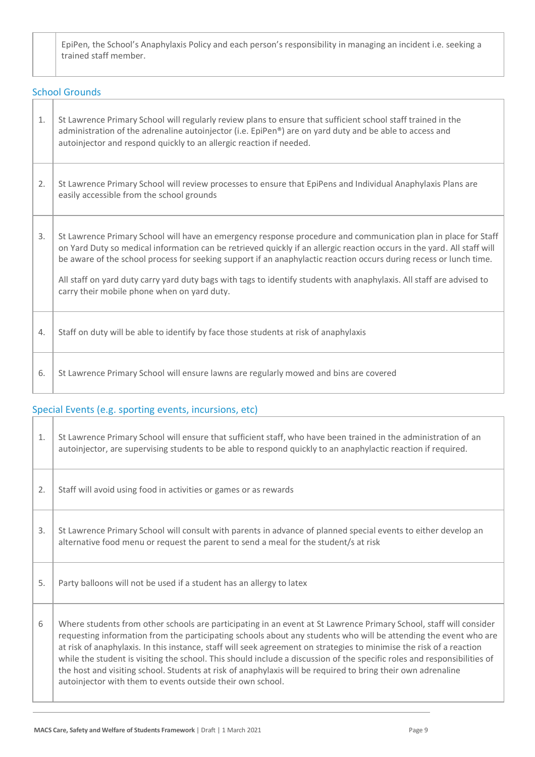EpiPen, the School's Anaphylaxis Policy and each person's responsibility in managing an incident i.e. seeking a trained staff member.

| <b>School Grounds</b> |                                                                                                                                                                                                                                                                                                                                                                                                                                                                                                                                         |  |
|-----------------------|-----------------------------------------------------------------------------------------------------------------------------------------------------------------------------------------------------------------------------------------------------------------------------------------------------------------------------------------------------------------------------------------------------------------------------------------------------------------------------------------------------------------------------------------|--|
| 1.                    | St Lawrence Primary School will regularly review plans to ensure that sufficient school staff trained in the<br>administration of the adrenaline autoinjector (i.e. EpiPen®) are on yard duty and be able to access and<br>autoinjector and respond quickly to an allergic reaction if needed.                                                                                                                                                                                                                                          |  |
| 2.                    | St Lawrence Primary School will review processes to ensure that EpiPens and Individual Anaphylaxis Plans are<br>easily accessible from the school grounds                                                                                                                                                                                                                                                                                                                                                                               |  |
| 3.                    | St Lawrence Primary School will have an emergency response procedure and communication plan in place for Staff<br>on Yard Duty so medical information can be retrieved quickly if an allergic reaction occurs in the yard. All staff will<br>be aware of the school process for seeking support if an anaphylactic reaction occurs during recess or lunch time.<br>All staff on yard duty carry yard duty bags with tags to identify students with anaphylaxis. All staff are advised to<br>carry their mobile phone when on yard duty. |  |
| 4.                    | Staff on duty will be able to identify by face those students at risk of anaphylaxis                                                                                                                                                                                                                                                                                                                                                                                                                                                    |  |
| 6.                    | St Lawrence Primary School will ensure lawns are regularly mowed and bins are covered                                                                                                                                                                                                                                                                                                                                                                                                                                                   |  |

# Special Events (e.g. sporting events, incursions, etc)

| 1. | St Lawrence Primary School will ensure that sufficient staff, who have been trained in the administration of an<br>autoinjector, are supervising students to be able to respond quickly to an anaphylactic reaction if required.                                                                                                                                                                                                                                                                                                                                                                                                                                         |
|----|--------------------------------------------------------------------------------------------------------------------------------------------------------------------------------------------------------------------------------------------------------------------------------------------------------------------------------------------------------------------------------------------------------------------------------------------------------------------------------------------------------------------------------------------------------------------------------------------------------------------------------------------------------------------------|
| 2. | Staff will avoid using food in activities or games or as rewards                                                                                                                                                                                                                                                                                                                                                                                                                                                                                                                                                                                                         |
| 3. | St Lawrence Primary School will consult with parents in advance of planned special events to either develop an<br>alternative food menu or request the parent to send a meal for the student/s at risk                                                                                                                                                                                                                                                                                                                                                                                                                                                                   |
| 5. | Party balloons will not be used if a student has an allergy to latex                                                                                                                                                                                                                                                                                                                                                                                                                                                                                                                                                                                                     |
| 6  | Where students from other schools are participating in an event at St Lawrence Primary School, staff will consider<br>requesting information from the participating schools about any students who will be attending the event who are<br>at risk of anaphylaxis. In this instance, staff will seek agreement on strategies to minimise the risk of a reaction<br>while the student is visiting the school. This should include a discussion of the specific roles and responsibilities of<br>the host and visiting school. Students at risk of anaphylaxis will be required to bring their own adrenaline<br>autoinjector with them to events outside their own school. |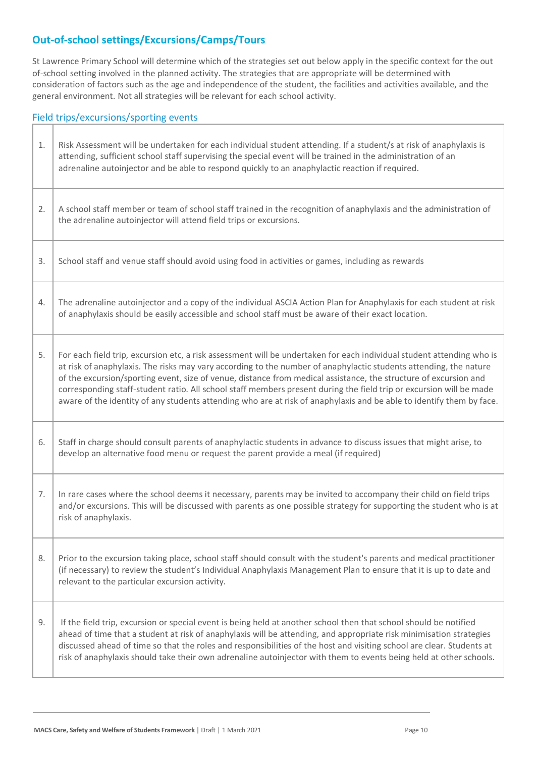# **Out-of-school settings/Excursions/Camps/Tours**

Field trins/excursions/sporting events

St Lawrence Primary School will determine which of the strategies set out below apply in the specific context for the out of-school setting involved in the planned activity. The strategies that are appropriate will be determined with consideration of factors such as the age and independence of the student, the facilities and activities available, and the general environment. Not all strategies will be relevant for each school activity.

| 1. | Risk Assessment will be undertaken for each individual student attending. If a student/s at risk of anaphylaxis is<br>attending, sufficient school staff supervising the special event will be trained in the administration of an<br>adrenaline autoinjector and be able to respond quickly to an anaphylactic reaction if required.                                                                                                                                                                                                                                                                         |
|----|---------------------------------------------------------------------------------------------------------------------------------------------------------------------------------------------------------------------------------------------------------------------------------------------------------------------------------------------------------------------------------------------------------------------------------------------------------------------------------------------------------------------------------------------------------------------------------------------------------------|
| 2. | A school staff member or team of school staff trained in the recognition of anaphylaxis and the administration of<br>the adrenaline autoinjector will attend field trips or excursions.                                                                                                                                                                                                                                                                                                                                                                                                                       |
| 3. | School staff and venue staff should avoid using food in activities or games, including as rewards                                                                                                                                                                                                                                                                                                                                                                                                                                                                                                             |
| 4. | The adrenaline autoinjector and a copy of the individual ASCIA Action Plan for Anaphylaxis for each student at risk<br>of anaphylaxis should be easily accessible and school staff must be aware of their exact location.                                                                                                                                                                                                                                                                                                                                                                                     |
| 5. | For each field trip, excursion etc, a risk assessment will be undertaken for each individual student attending who is<br>at risk of anaphylaxis. The risks may vary according to the number of anaphylactic students attending, the nature<br>of the excursion/sporting event, size of venue, distance from medical assistance, the structure of excursion and<br>corresponding staff-student ratio. All school staff members present during the field trip or excursion will be made<br>aware of the identity of any students attending who are at risk of anaphylaxis and be able to identify them by face. |
| 6. | Staff in charge should consult parents of anaphylactic students in advance to discuss issues that might arise, to<br>develop an alternative food menu or request the parent provide a meal (if required)                                                                                                                                                                                                                                                                                                                                                                                                      |
| 7. | In rare cases where the school deems it necessary, parents may be invited to accompany their child on field trips<br>and/or excursions. This will be discussed with parents as one possible strategy for supporting the student who is at<br>risk of anaphylaxis.                                                                                                                                                                                                                                                                                                                                             |
| 8. | Prior to the excursion taking place, school staff should consult with the student's parents and medical practitioner<br>(if necessary) to review the student's Individual Anaphylaxis Management Plan to ensure that it is up to date and<br>relevant to the particular excursion activity.                                                                                                                                                                                                                                                                                                                   |
| 9. | If the field trip, excursion or special event is being held at another school then that school should be notified<br>ahead of time that a student at risk of anaphylaxis will be attending, and appropriate risk minimisation strategies<br>discussed ahead of time so that the roles and responsibilities of the host and visiting school are clear. Students at<br>risk of anaphylaxis should take their own adrenaline autoinjector with them to events being held at other schools.                                                                                                                       |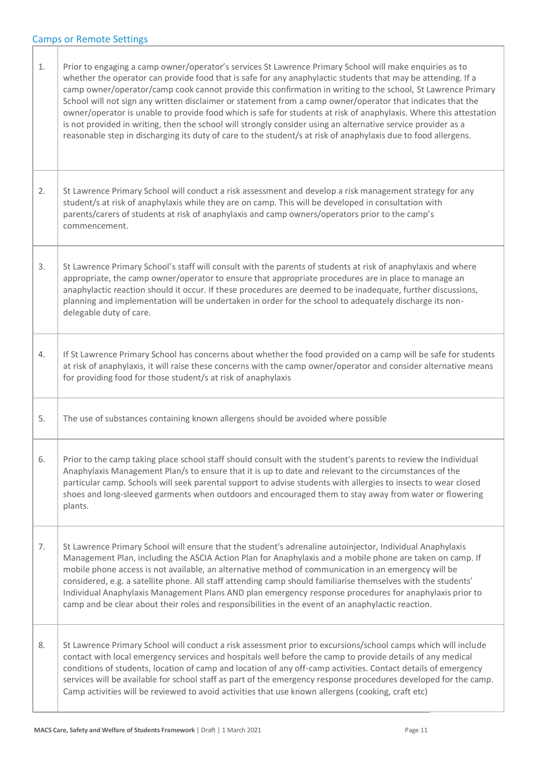| 1. | Prior to engaging a camp owner/operator's services St Lawrence Primary School will make enquiries as to<br>whether the operator can provide food that is safe for any anaphylactic students that may be attending. If a<br>camp owner/operator/camp cook cannot provide this confirmation in writing to the school, St Lawrence Primary<br>School will not sign any written disclaimer or statement from a camp owner/operator that indicates that the<br>owner/operator is unable to provide food which is safe for students at risk of anaphylaxis. Where this attestation<br>is not provided in writing, then the school will strongly consider using an alternative service provider as a<br>reasonable step in discharging its duty of care to the student/s at risk of anaphylaxis due to food allergens. |
|----|-----------------------------------------------------------------------------------------------------------------------------------------------------------------------------------------------------------------------------------------------------------------------------------------------------------------------------------------------------------------------------------------------------------------------------------------------------------------------------------------------------------------------------------------------------------------------------------------------------------------------------------------------------------------------------------------------------------------------------------------------------------------------------------------------------------------|
| 2. | St Lawrence Primary School will conduct a risk assessment and develop a risk management strategy for any<br>student/s at risk of anaphylaxis while they are on camp. This will be developed in consultation with<br>parents/carers of students at risk of anaphylaxis and camp owners/operators prior to the camp's<br>commencement.                                                                                                                                                                                                                                                                                                                                                                                                                                                                            |
| 3. | St Lawrence Primary School's staff will consult with the parents of students at risk of anaphylaxis and where<br>appropriate, the camp owner/operator to ensure that appropriate procedures are in place to manage an<br>anaphylactic reaction should it occur. If these procedures are deemed to be inadequate, further discussions,<br>planning and implementation will be undertaken in order for the school to adequately discharge its non-<br>delegable duty of care.                                                                                                                                                                                                                                                                                                                                     |
| 4. | If St Lawrence Primary School has concerns about whether the food provided on a camp will be safe for students<br>at risk of anaphylaxis, it will raise these concerns with the camp owner/operator and consider alternative means<br>for providing food for those student/s at risk of anaphylaxis                                                                                                                                                                                                                                                                                                                                                                                                                                                                                                             |
| 5. | The use of substances containing known allergens should be avoided where possible                                                                                                                                                                                                                                                                                                                                                                                                                                                                                                                                                                                                                                                                                                                               |
| 6. | Prior to the camp taking place school staff should consult with the student's parents to review the Individual<br>Anaphylaxis Management Plan/s to ensure that it is up to date and relevant to the circumstances of the<br>particular camp. Schools will seek parental support to advise students with allergies to insects to wear closed<br>shoes and long-sleeved garments when outdoors and encouraged them to stay away from water or flowering<br>plants.                                                                                                                                                                                                                                                                                                                                                |
| 7. | St Lawrence Primary School will ensure that the student's adrenaline autoinjector, Individual Anaphylaxis<br>Management Plan, including the ASCIA Action Plan for Anaphylaxis and a mobile phone are taken on camp. If<br>mobile phone access is not available, an alternative method of communication in an emergency will be<br>considered, e.g. a satellite phone. All staff attending camp should familiarise themselves with the students'<br>Individual Anaphylaxis Management Plans AND plan emergency response procedures for anaphylaxis prior to<br>camp and be clear about their roles and responsibilities in the event of an anaphylactic reaction.                                                                                                                                                |
| 8. | St Lawrence Primary School will conduct a risk assessment prior to excursions/school camps which will include<br>contact with local emergency services and hospitals well before the camp to provide details of any medical<br>conditions of students, location of camp and location of any off-camp activities. Contact details of emergency<br>services will be available for school staff as part of the emergency response procedures developed for the camp.<br>Camp activities will be reviewed to avoid activities that use known allergens (cooking, craft etc)                                                                                                                                                                                                                                         |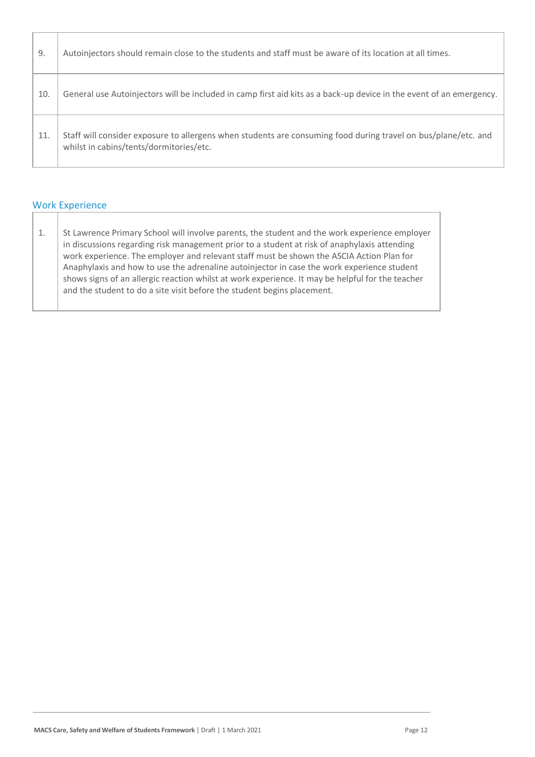| 9.  | Autoinjectors should remain close to the students and staff must be aware of its location at all times.                                                   |
|-----|-----------------------------------------------------------------------------------------------------------------------------------------------------------|
| 10. | General use Autoinjectors will be included in camp first aid kits as a back-up device in the event of an emergency.                                       |
| 11. | Staff will consider exposure to allergens when students are consuming food during travel on bus/plane/etc. and<br>whilst in cabins/tents/dormitories/etc. |

## Work Experience

| 1. | St Lawrence Primary School will involve parents, the student and the work experience employer    |
|----|--------------------------------------------------------------------------------------------------|
|    | in discussions regarding risk management prior to a student at risk of anaphylaxis attending     |
|    | work experience. The employer and relevant staff must be shown the ASCIA Action Plan for         |
|    | Anaphylaxis and how to use the adrenaline autoinjector in case the work experience student       |
|    | shows signs of an allergic reaction whilst at work experience. It may be helpful for the teacher |
|    | and the student to do a site visit before the student begins placement.                          |
|    |                                                                                                  |